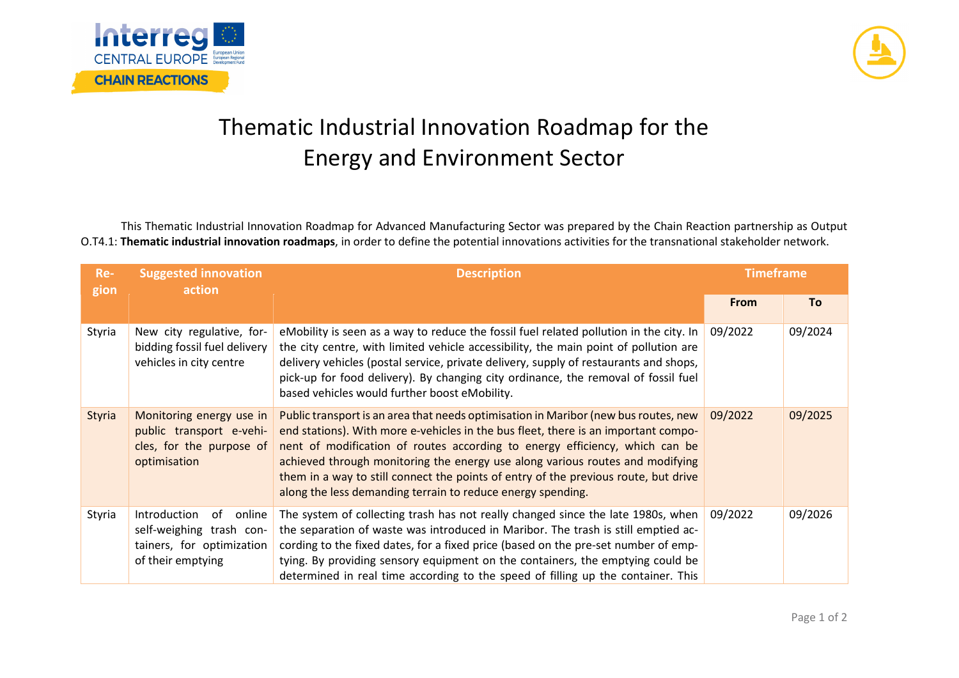



## Thematic Industrial Innovation Roadmap for the Energy and Environment Sector

This Thematic Industrial Innovation Roadmap for Advanced Manufacturing Sector was prepared by the Chain Reaction partnership as Output O.T4.1: **Thematic industrial innovation roadmaps**, in order to define the potential innovations activities for the transnational stakeholder network.

| Re-<br>gion   | <b>Suggested innovation</b><br>action                                                                      | <b>Description</b>                                                                                                                                                                                                                                                                                                                                                                                                                                                                              | <b>Timeframe</b> |         |
|---------------|------------------------------------------------------------------------------------------------------------|-------------------------------------------------------------------------------------------------------------------------------------------------------------------------------------------------------------------------------------------------------------------------------------------------------------------------------------------------------------------------------------------------------------------------------------------------------------------------------------------------|------------------|---------|
|               |                                                                                                            |                                                                                                                                                                                                                                                                                                                                                                                                                                                                                                 | <b>From</b>      | To      |
| Styria        | New city regulative, for-<br>bidding fossil fuel delivery<br>vehicles in city centre                       | eMobility is seen as a way to reduce the fossil fuel related pollution in the city. In<br>the city centre, with limited vehicle accessibility, the main point of pollution are<br>delivery vehicles (postal service, private delivery, supply of restaurants and shops,<br>pick-up for food delivery). By changing city ordinance, the removal of fossil fuel<br>based vehicles would further boost eMobility.                                                                                  | 09/2022          | 09/2024 |
| <b>Styria</b> | Monitoring energy use in<br>public transport e-vehi-<br>cles, for the purpose of<br>optimisation           | Public transport is an area that needs optimisation in Maribor (new bus routes, new<br>end stations). With more e-vehicles in the bus fleet, there is an important compo-<br>nent of modification of routes according to energy efficiency, which can be<br>achieved through monitoring the energy use along various routes and modifying<br>them in a way to still connect the points of entry of the previous route, but drive<br>along the less demanding terrain to reduce energy spending. | 09/2022          | 09/2025 |
| Styria        | Introduction<br>of<br>online<br>self-weighing trash con-<br>tainers, for optimization<br>of their emptying | The system of collecting trash has not really changed since the late 1980s, when<br>the separation of waste was introduced in Maribor. The trash is still emptied ac-<br>cording to the fixed dates, for a fixed price (based on the pre-set number of emp-<br>tying. By providing sensory equipment on the containers, the emptying could be<br>determined in real time according to the speed of filling up the container. This                                                               | 09/2022          | 09/2026 |